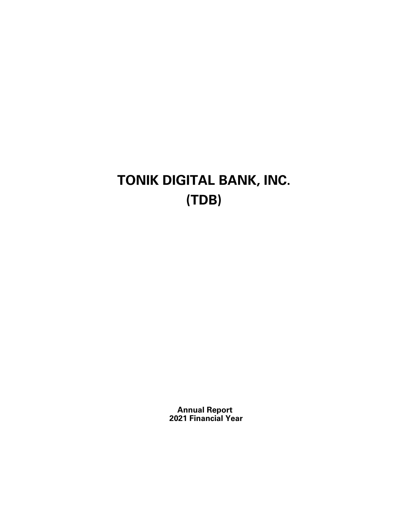# **TONIK DIGITAL BANK, INC. (TDB)**

**Annual Report 2021 Financial Year**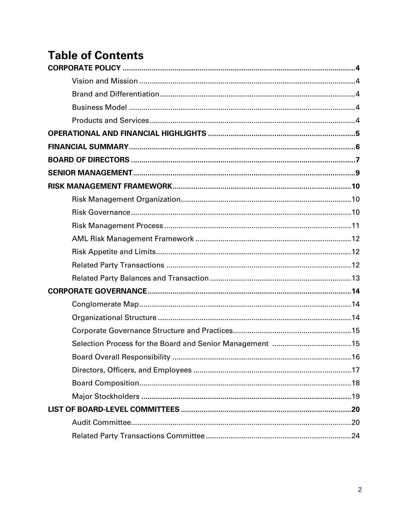## **Table of Contents**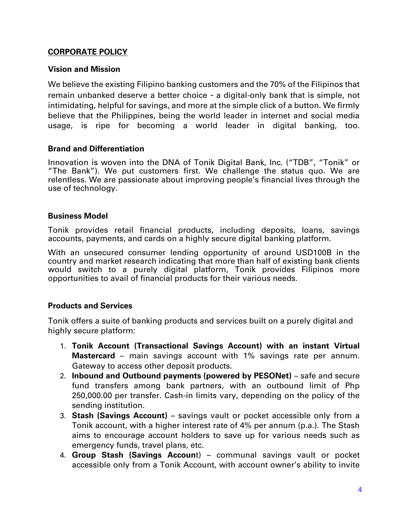#### **CORPORATE POLICY**

#### **Vision and Mission**

We believe the existing Filipino banking customers and the 70% of the Filipinos that remain unbanked deserve a better choice - a digital-only bank that is simple, not intimidating, helpful for savings, and more at the simple click of a button. We firmly believe that the Philippines, being the world leader in internet and social media usage, is ripe for becoming a world leader in digital banking, too.

#### **Brand and Differentiation**

Innovation is woven into the DNA of Tonik Digital Bank, Inc. ("TDB", "Tonik" or "The Bank"). We put customers first. We challenge the status quo. We are relentless. We are passionate about improving people's financial lives through the use of technology.

#### **Business Model**

Tonik provides retail financial products, including deposits, loans, savings accounts, payments, and cards on a highly secure digital banking platform.

With an unsecured consumer lending opportunity of around USD100B in the country and market research indicating that more than half of existing bank clients would switch to a purely digital platform, Tonik provides Filipinos more opportunities to avail of financial products for their various needs.

#### **Products and Services**

Tonik offers a suite of banking products and services built on a purely digital and highly secure platform:

- 1. **Tonik Account (Transactional Savings Account) with an instant Virtual Mastercard** – main savings account with 1% savings rate per annum. Gateway to access other deposit products.
- 2. **Inbound and Outbound payments (powered by PESONet)** safe and secure fund transfers among bank partners, with an outbound limit of Php 250,000.00 per transfer. Cash-in limits vary, depending on the policy of the sending institution.
- 3. **Stash (Savings Account)** savings vault or pocket accessible only from a Tonik account, with a higher interest rate of 4% per annum (p.a.). The Stash aims to encourage account holders to save up for various needs such as emergency funds, travel plans, etc.
- 4. **Group Stash (Savings Accoun**t) communal savings vault or pocket accessible only from a Tonik Account, with account owner's ability to invite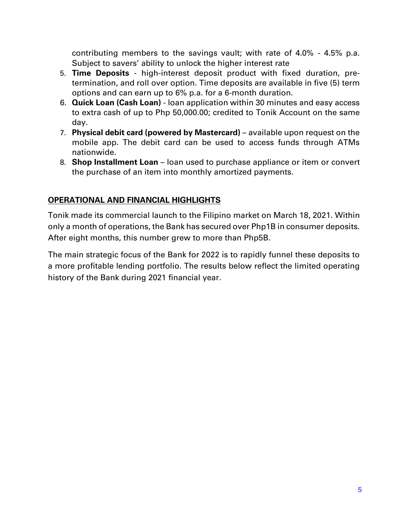contributing members to the savings vault; with rate of 4.0% - 4.5% p.a. Subject to savers' ability to unlock the higher interest rate

- 5. **Time Deposits** high-interest deposit product with fixed duration, pretermination, and roll over option. Time deposits are available in five (5) term options and can earn up to 6% p.a. for a 6-month duration.
- 6. **Quick Loan (Cash Loan)** loan application within 30 minutes and easy access to extra cash of up to Php 50,000.00; credited to Tonik Account on the same day.
- 7. **Physical debit card (powered by Mastercard)** available upon request on the mobile app. The debit card can be used to access funds through ATMs nationwide.
- 8. **Shop Installment Loan** loan used to purchase appliance or item or convert the purchase of an item into monthly amortized payments.

## **OPERATIONAL AND FINANCIAL HIGHLIGHTS**

Tonik made its commercial launch to the Filipino market on March 18, 2021. Within only a month of operations, the Bank has secured over Php1B in consumer deposits. After eight months, this number grew to more than Php5B.

The main strategic focus of the Bank for 2022 is to rapidly funnel these deposits to a more profitable lending portfolio. The results below reflect the limited operating history of the Bank during 2021 financial year.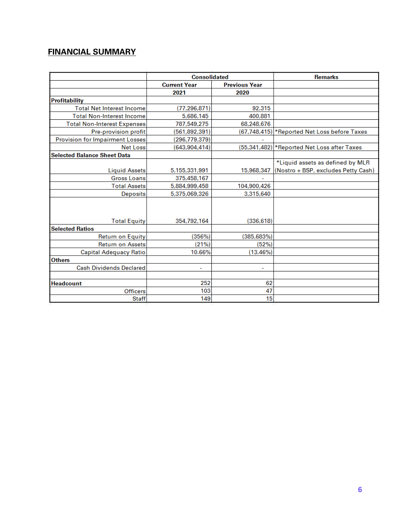## **FINANCIAL SUMMARY**

|                                        | <b>Consolidated</b> |                      | <b>Remarks</b>                               |
|----------------------------------------|---------------------|----------------------|----------------------------------------------|
|                                        | <b>Current Year</b> | <b>Previous Year</b> |                                              |
|                                        | 2021                | 2020                 |                                              |
| <b>Profitability</b>                   |                     |                      |                                              |
| <b>Total Net Interest Income</b>       | (77, 296, 871)      | 92,315               |                                              |
| <b>Total Non-Interest Income</b>       | 5,686,145           | 400.881              |                                              |
| <b>Total Non-Interest Expenses</b>     | 787,549,275         | 68,248,676           |                                              |
| Pre-provision profit                   | (561,892,391)       |                      | (67,748,415) *Reported Net Loss before Taxes |
| <b>Provision for Impairment Losses</b> | (296, 779, 379)     |                      |                                              |
| <b>Net Loss</b>                        | (643, 904, 414)     |                      | (55,341,482) * Reported Net Loss after Taxes |
| <b>Selected Balance Sheet Data</b>     |                     |                      |                                              |
|                                        |                     |                      | *Liquid assets as defined by MLR             |
| <b>Liquid Assets</b>                   | 5,155,331,991       | 15,968,347           | (Nostro + BSP, excludes Petty Cash)          |
| <b>Gross Loans</b>                     | 375,458,167         |                      |                                              |
| <b>Total Assets</b>                    | 5,884,999,458       | 104,900,426          |                                              |
| <b>Deposits</b>                        | 5,375,069,326       | 3,315,640            |                                              |
|                                        |                     |                      |                                              |
| <b>Total Equity</b>                    | 354,792,164         | (336, 618)           |                                              |
| <b>Selected Ratios</b>                 |                     |                      |                                              |
| <b>Return on Equity</b>                | (356%)              | (385, 683%)          |                                              |
| <b>Return on Assets</b>                | (21%)               | (52%)                |                                              |
| Capital Adequacy Ratio                 | 10.66%              | (13.46%)             |                                              |
| <b>Others</b>                          |                     |                      |                                              |
| <b>Cash Dividends Declared</b>         |                     |                      |                                              |
| <b>Headcount</b>                       | 252                 | 62                   |                                              |
| Officers                               | 103                 | 47                   |                                              |
| <b>Staff</b>                           | 149                 | 15                   |                                              |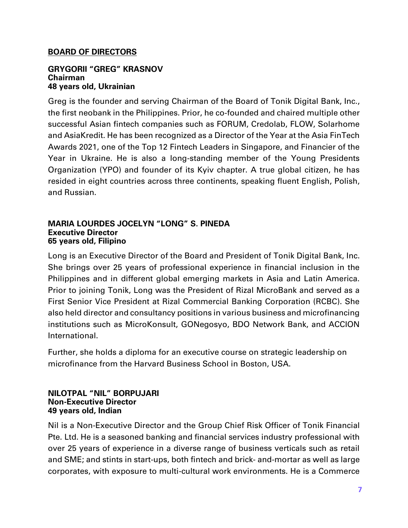## **BOARD OF DIRECTORS**

#### **GRYGORII "GREG" KRASNOV Chairman 48 years old, Ukrainian**

Greg is the founder and serving Chairman of the Board of Tonik Digital Bank, Inc., the first neobank in the Philippines. Prior, he co-founded and chaired multiple other successful Asian fintech companies such as FORUM, Credolab, FLOW, Solarhome and AsiaKredit. He has been recognized as a Director of the Year at the Asia FinTech Awards 2021, one of the Top 12 Fintech Leaders in Singapore, and Financier of the Year in Ukraine. He is also a long-standing member of the Young Presidents Organization (YPO) and founder of its Kyiv chapter. A true global citizen, he has resided in eight countries across three continents, speaking fluent English, Polish, and Russian.

#### **MARIA LOURDES JOCELYN "LONG" S. PINEDA Executive Director 65 years old, Filipino**

Long is an Executive Director of the Board and President of Tonik Digital Bank, Inc. She brings over 25 years of professional experience in financial inclusion in the Philippines and in different global emerging markets in Asia and Latin America. Prior to joining Tonik, Long was the President of Rizal MicroBank and served as a First Senior Vice President at Rizal Commercial Banking Corporation (RCBC). She also held director and consultancy positions in various business and microfinancing institutions such as MicroKonsult, GONegosyo, BDO Network Bank, and ACCION International.

Further, she holds a diploma for an executive course on strategic leadership on microfinance from the Harvard Business School in Boston, USA.

#### **NILOTPAL "NIL" BORPUJARI Non-Executive Director 49 years old, Indian**

Nil is a Non-Executive Director and the Group Chief Risk Officer of Tonik Financial Pte. Ltd. He is a seasoned banking and financial services industry professional with over 25 years of experience in a diverse range of business verticals such as retail and SME; and stints in start-ups, both fintech and brick- and-mortar as well as large corporates, with exposure to multi-cultural work environments. He is a Commerce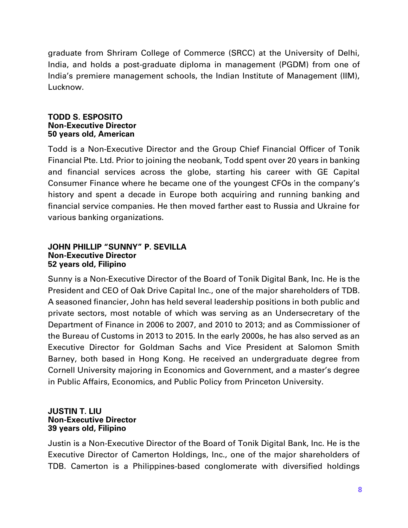graduate from Shriram College of Commerce (SRCC) at the University of Delhi, India, and holds a post-graduate diploma in management (PGDM) from one of India's premiere management schools, the Indian Institute of Management (IIM), Lucknow.

#### **TODD S. ESPOSITO Non-Executive Director 50 years old, American**

Todd is a Non-Executive Director and the Group Chief Financial Officer of Tonik Financial Pte. Ltd. Prior to joining the neobank, Todd spent over 20 years in banking and financial services across the globe, starting his career with GE Capital Consumer Finance where he became one of the youngest CFOs in the company's history and spent a decade in Europe both acquiring and running banking and financial service companies. He then moved farther east to Russia and Ukraine for various banking organizations.

#### **JOHN PHILLIP "SUNNY" P. SEVILLA Non-Executive Director 52 years old, Filipino**

Sunny is a Non-Executive Director of the Board of Tonik Digital Bank, Inc. He is the President and CEO of Oak Drive Capital Inc., one of the major shareholders of TDB. A seasoned financier, John has held several leadership positions in both public and private sectors, most notable of which was serving as an Undersecretary of the Department of Finance in 2006 to 2007, and 2010 to 2013; and as Commissioner of the Bureau of Customs in 2013 to 2015. In the early 2000s, he has also served as an Executive Director for Goldman Sachs and Vice President at Salomon Smith Barney, both based in Hong Kong. He received an undergraduate degree from Cornell University majoring in Economics and Government, and a master's degree in Public Affairs, Economics, and Public Policy from Princeton University.

#### **JUSTIN T. LIU Non-Executive Director 39 years old, Filipino**

Justin is a Non-Executive Director of the Board of Tonik Digital Bank, Inc. He is the Executive Director of Camerton Holdings, Inc., one of the major shareholders of TDB. Camerton is a Philippines-based conglomerate with diversified holdings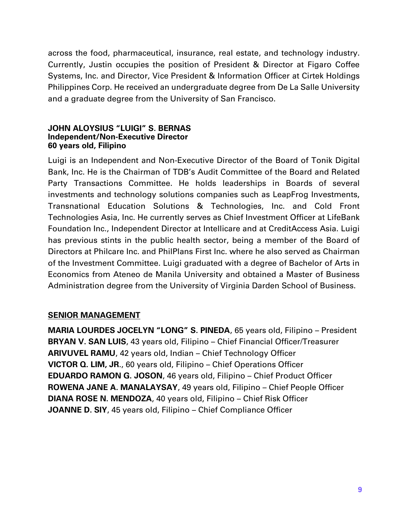across the food, pharmaceutical, insurance, real estate, and technology industry. Currently, Justin occupies the position of President & Director at Figaro Coffee Systems, Inc. and Director, Vice President & Information Officer at Cirtek Holdings Philippines Corp. He received an undergraduate degree from De La Salle University and a graduate degree from the University of San Francisco.

#### **JOHN ALOYSIUS "LUIGI" S. BERNAS Independent/Non-Executive Director 60 years old, Filipino**

Luigi is an Independent and Non-Executive Director of the Board of Tonik Digital Bank, Inc. He is the Chairman of TDB's Audit Committee of the Board and Related Party Transactions Committee. He holds leaderships in Boards of several investments and technology solutions companies such as LeapFrog Investments, Transnational Education Solutions & Technologies, Inc. and Cold Front Technologies Asia, Inc. He currently serves as Chief Investment Officer at LifeBank Foundation Inc., Independent Director at Intellicare and at CreditAccess Asia. Luigi has previous stints in the public health sector, being a member of the Board of Directors at Philcare Inc. and PhilPlans First Inc. where he also served as Chairman of the Investment Committee. Luigi graduated with a degree of Bachelor of Arts in Economics from Ateneo de Manila University and obtained a Master of Business Administration degree from the University of Virginia Darden School of Business.

## **SENIOR MANAGEMENT**

**MARIA LOURDES JOCELYN "LONG" S. PINEDA**, 65 years old, Filipino – President **BRYAN V. SAN LUIS**, 43 years old, Filipino – Chief Financial Officer/Treasurer **ARIVUVEL RAMU**, 42 years old, Indian – Chief Technology Officer **VICTOR Q. LIM, JR**., 60 years old, Filipino – Chief Operations Officer **EDUARDO RAMON G. JOSON**, 46 years old, Filipino – Chief Product Officer **ROWENA JANE A. MANALAYSAY**, 49 years old, Filipino – Chief People Officer **DIANA ROSE N. MENDOZA**, 40 years old, Filipino – Chief Risk Officer **JOANNE D. SIY**, 45 years old, Filipino – Chief Compliance Officer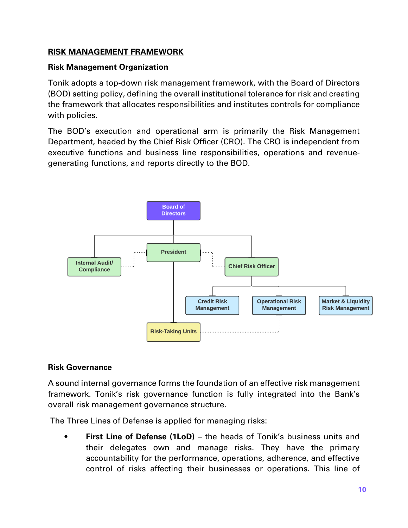## **RISK MANAGEMENT FRAMEWORK**

## **Risk Management Organization**

Tonik adopts a top-down risk management framework, with the Board of Directors (BOD) setting policy, defining the overall institutional tolerance for risk and creating the framework that allocates responsibilities and institutes controls for compliance with policies.

The BOD's execution and operational arm is primarily the Risk Management Department, headed by the Chief Risk Officer (CRO). The CRO is independent from executive functions and business line responsibilities, operations and revenuegenerating functions, and reports directly to the BOD.



## **Risk Governance**

A sound internal governance forms the foundation of an effective risk management framework. Tonik's risk governance function is fully integrated into the Bank's overall risk management governance structure.

The Three Lines of Defense is applied for managing risks:

**First Line of Defense (1LoD)** – the heads of Tonik's business units and their delegates own and manage risks. They have the primary accountability for the performance, operations, adherence, and effective control of risks affecting their businesses or operations. This line of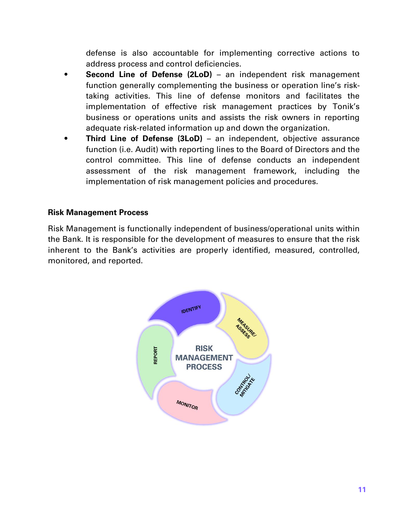defense is also accountable for implementing corrective actions to address process and control deficiencies.

- **Second Line of Defense (2LoD)** an independent risk management function generally complementing the business or operation line's risktaking activities. This line of defense monitors and facilitates the implementation of effective risk management practices by Tonik's business or operations units and assists the risk owners in reporting adequate risk-related information up and down the organization.
- **Third Line of Defense (3LoD)** an independent, objective assurance function (i.e. Audit) with reporting lines to the Board of Directors and the control committee. This line of defense conducts an independent assessment of the risk management framework, including the implementation of risk management policies and procedures.

#### **Risk Management Process**

Risk Management is functionally independent of business/operational units within the Bank. It is responsible for the development of measures to ensure that the risk inherent to the Bank's activities are properly identified, measured, controlled, monitored, and reported.

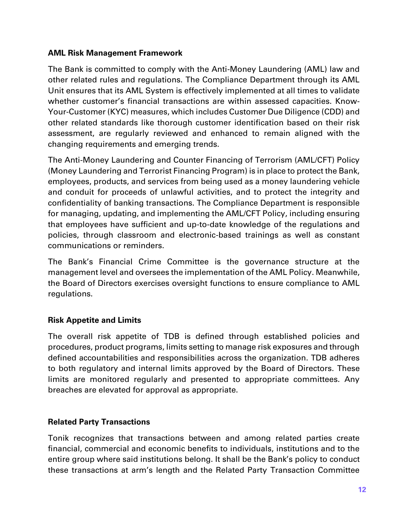#### **AML Risk Management Framework**

The Bank is committed to comply with the Anti-Money Laundering (AML) law and other related rules and regulations. The Compliance Department through its AML Unit ensures that its AML System is effectively implemented at all times to validate whether customer's financial transactions are within assessed capacities. Know-Your-Customer (KYC) measures, which includes Customer Due Diligence (CDD) and other related standards like thorough customer identification based on their risk assessment, are regularly reviewed and enhanced to remain aligned with the changing requirements and emerging trends.

The Anti-Money Laundering and Counter Financing of Terrorism (AML/CFT) Policy (Money Laundering and Terrorist Financing Program) is in place to protect the Bank, employees, products, and services from being used as a money laundering vehicle and conduit for proceeds of unlawful activities, and to protect the integrity and confidentiality of banking transactions. The Compliance Department is responsible for managing, updating, and implementing the AML/CFT Policy, including ensuring that employees have sufficient and up-to-date knowledge of the regulations and policies, through classroom and electronic-based trainings as well as constant communications or reminders.

The Bank's Financial Crime Committee is the governance structure at the management level and oversees the implementation of the AML Policy. Meanwhile, the Board of Directors exercises oversight functions to ensure compliance to AML regulations.

## **Risk Appetite and Limits**

The overall risk appetite of TDB is defined through established policies and procedures, product programs, limits setting to manage risk exposures and through defined accountabilities and responsibilities across the organization. TDB adheres to both regulatory and internal limits approved by the Board of Directors. These limits are monitored regularly and presented to appropriate committees. Any breaches are elevated for approval as appropriate.

## **Related Party Transactions**

Tonik recognizes that transactions between and among related parties create financial, commercial and economic benefits to individuals, institutions and to the entire group where said institutions belong. It shall be the Bank's policy to conduct these transactions at arm's length and the Related Party Transaction Committee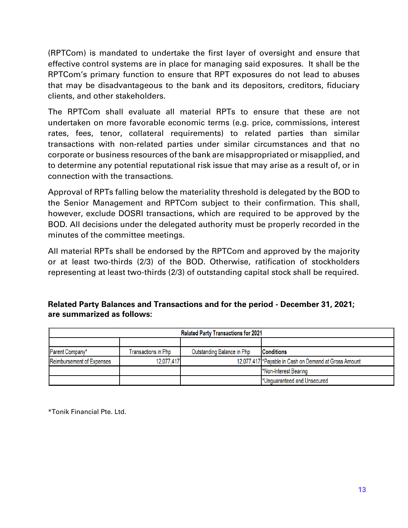(RPTCom) is mandated to undertake the first layer of oversight and ensure that effective control systems are in place for managing said exposures. It shall be the RPTCom's primary function to ensure that RPT exposures do not lead to abuses that may be disadvantageous to the bank and its depositors, creditors, fiduciary clients, and other stakeholders.

The RPTCom shall evaluate all material RPTs to ensure that these are not undertaken on more favorable economic terms (e.g. price, commissions, interest rates, fees, tenor, collateral requirements) to related parties than similar transactions with non-related parties under similar circumstances and that no corporate or business resources of the bank are misappropriated or misapplied, and to determine any potential reputational risk issue that may arise as a result of, or in connection with the transactions.

Approval of RPTs falling below the materiality threshold is delegated by the BOD to the Senior Management and RPTCom subject to their confirmation. This shall, however, exclude DOSRI transactions, which are required to be approved by the BOD. All decisions under the delegated authority must be properly recorded in the minutes of the committee meetings.

All material RPTs shall be endorsed by the RPTCom and approved by the majority or at least two-thirds (2/3) of the BOD. Otherwise, ratification of stockholders representing at least two-thirds (2/3) of outstanding capital stock shall be required.

## **Related Party Balances and Transactions and for the period - December 31, 2021; are summarized as follows:**

| <b>Related Party Transactions for 2021</b> |                     |                            |                                                        |  |  |  |  |
|--------------------------------------------|---------------------|----------------------------|--------------------------------------------------------|--|--|--|--|
|                                            |                     |                            |                                                        |  |  |  |  |
| Parent Company*                            | Transactions in Php | Outstanding Balance in Php | <b>Conditions</b>                                      |  |  |  |  |
| <b>Reimbursement of Expenses</b>           | 12,077,417          |                            | 12,077,417 * Payable in Cash on Demand at Gross Amount |  |  |  |  |
|                                            |                     |                            | *Non-Interest Bearing                                  |  |  |  |  |
|                                            |                     |                            | *Unguaranteed and Unsecured                            |  |  |  |  |

\*Tonik Financial Pte. Ltd.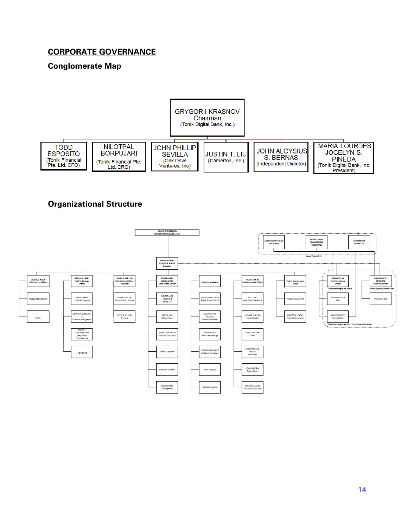## **CORPORATE GOVERNANCE**

## **Conglomerate Map**



## **Organizational Structure**

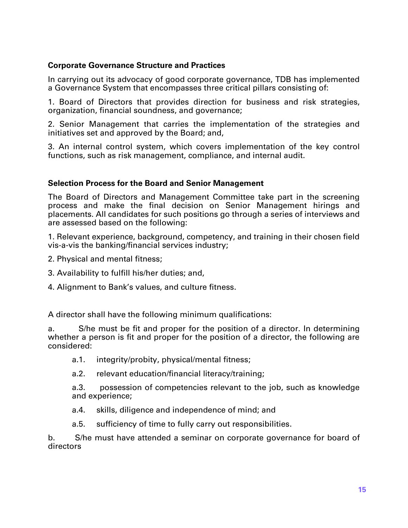#### **Corporate Governance Structure and Practices**

In carrying out its advocacy of good corporate governance, TDB has implemented a Governance System that encompasses three critical pillars consisting of:

1. Board of Directors that provides direction for business and risk strategies, organization, financial soundness, and governance;

2. Senior Management that carries the implementation of the strategies and initiatives set and approved by the Board; and,

3. An internal control system, which covers implementation of the key control functions, such as risk management, compliance, and internal audit.

#### **Selection Process for the Board and Senior Management**

The Board of Directors and Management Committee take part in the screening process and make the final decision on Senior Management hirings and placements. All candidates for such positions go through a series of interviews and are assessed based on the following:

1. Relevant experience, background, competency, and training in their chosen field vis-a-vis the banking/financial services industry;

- 2. Physical and mental fitness;
- 3. Availability to fulfill his/her duties; and,
- 4. Alignment to Bank's values, and culture fitness.

A director shall have the following minimum qualifications:

a. S/he must be fit and proper for the position of a director. In determining whether a person is fit and proper for the position of a director, the following are considered:

- a.1. integrity/probity, physical/mental fitness;
- a.2. relevant education/financial literacy/training;

a.3. possession of competencies relevant to the job, such as knowledge and experience;

- a.4. skills, diligence and independence of mind; and
- a.5. sufficiency of time to fully carry out responsibilities.

b. S/he must have attended a seminar on corporate governance for board of directors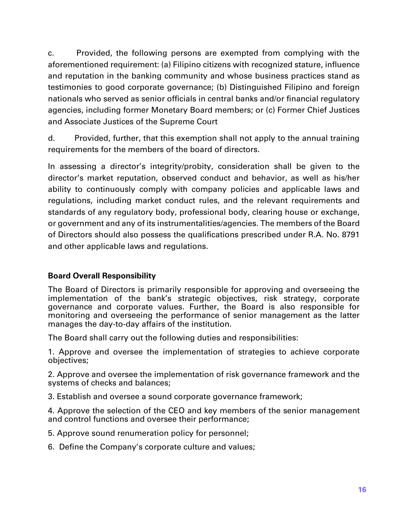c. Provided, the following persons are exempted from complying with the aforementioned requirement: (a) Filipino citizens with recognized stature, influence and reputation in the banking community and whose business practices stand as testimonies to good corporate governance; (b) Distinguished Filipino and foreign nationals who served as senior officials in central banks and/or financial regulatory agencies, including former Monetary Board members; or (c) Former Chief Justices and Associate Justices of the Supreme Court

d. Provided, further, that this exemption shall not apply to the annual training requirements for the members of the board of directors.

In assessing a director's integrity/probity, consideration shall be given to the director's market reputation, observed conduct and behavior, as well as his/her ability to continuously comply with company policies and applicable laws and regulations, including market conduct rules, and the relevant requirements and standards of any regulatory body, professional body, clearing house or exchange, or government and any of its instrumentalities/agencies. The members of the Board of Directors should also possess the qualifications prescribed under R.A. No. 8791 and other applicable laws and regulations.

## **Board Overall Responsibility**

The Board of Directors is primarily responsible for approving and overseeing the implementation of the bank's strategic objectives, risk strategy, corporate governance and corporate values. Further, the Board is also responsible for monitoring and overseeing the performance of senior management as the latter manages the day-to-day affairs of the institution.

The Board shall carry out the following duties and responsibilities:

1. Approve and oversee the implementation of strategies to achieve corporate objectives;

2. Approve and oversee the implementation of risk governance framework and the systems of checks and balances;

3. Establish and oversee a sound corporate governance framework;

4. Approve the selection of the CEO and key members of the senior management and control functions and oversee their performance;

5. Approve sound renumeration policy for personnel;

6. Define the Company's corporate culture and values;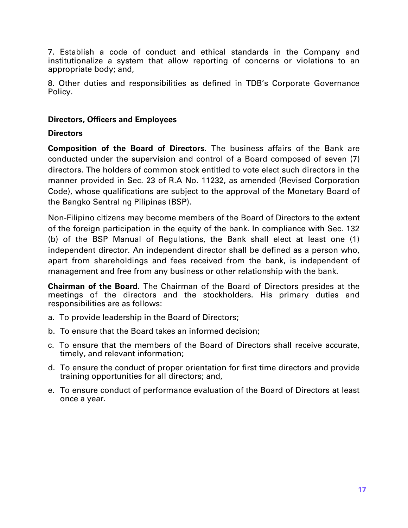7. Establish a code of conduct and ethical standards in the Company and institutionalize a system that allow reporting of concerns or violations to an appropriate body; and,

8. Other duties and responsibilities as defined in TDB's Corporate Governance Policy.

#### **Directors, Officers and Employees**

#### **Directors**

**Composition of the Board of Directors.** The business affairs of the Bank are conducted under the supervision and control of a Board composed of seven (7) directors. The holders of common stock entitled to vote elect such directors in the manner provided in Sec. 23 of R.A No. 11232, as amended (Revised Corporation Code), whose qualifications are subject to the approval of the Monetary Board of the Bangko Sentral ng Pilipinas (BSP).

Non-Filipino citizens may become members of the Board of Directors to the extent of the foreign participation in the equity of the bank. In compliance with Sec. 132 (b) of the BSP Manual of Regulations, the Bank shall elect at least one (1) independent director. An independent director shall be defined as a person who, apart from shareholdings and fees received from the bank, is independent of management and free from any business or other relationship with the bank.

**Chairman of the Board.** The Chairman of the Board of Directors presides at the meetings of the directors and the stockholders. His primary duties and responsibilities are as follows:

- a. To provide leadership in the Board of Directors;
- b. To ensure that the Board takes an informed decision;
- c. To ensure that the members of the Board of Directors shall receive accurate, timely, and relevant information;
- d. To ensure the conduct of proper orientation for first time directors and provide training opportunities for all directors; and,
- e. To ensure conduct of performance evaluation of the Board of Directors at least once a year.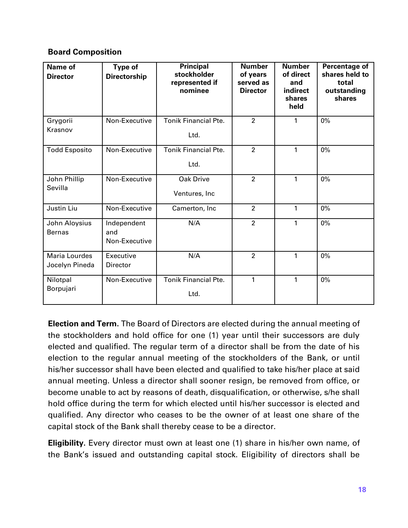## **Board Composition**

| <b>Name of</b><br><b>Director</b> | <b>Type of</b><br><b>Directorship</b> | <b>Principal</b><br>stockholder<br>represented if<br>nominee | <b>Number</b><br>of years<br>served as<br><b>Director</b> | <b>Number</b><br>of direct<br>and<br><b>indirect</b><br>shares<br>held | <b>Percentage of</b><br>shares held to<br>total<br>outstanding<br>shares |
|-----------------------------------|---------------------------------------|--------------------------------------------------------------|-----------------------------------------------------------|------------------------------------------------------------------------|--------------------------------------------------------------------------|
| Grygorii<br>Krasnov               | Non-Executive                         | <b>Tonik Financial Pte.</b><br>Ltd.                          | $\overline{2}$                                            | 1                                                                      | 0%                                                                       |
| <b>Todd Esposito</b>              | Non-Executive                         | <b>Tonik Financial Pte.</b><br>Ltd.                          | $\overline{2}$                                            | 1                                                                      | $0\%$                                                                    |
| John Phillip<br>Sevilla           | Non-Executive                         | <b>Oak Drive</b><br>Ventures, Inc                            | $\overline{2}$                                            | 1                                                                      | 0%                                                                       |
| Justin Liu                        | Non-Executive                         | Camerton, Inc                                                | $\overline{2}$                                            | 1                                                                      | 0%                                                                       |
| John Aloysius<br><b>Bernas</b>    | Independent<br>and<br>Non-Executive   | N/A                                                          | $\overline{2}$                                            | 1                                                                      | 0%                                                                       |
| Maria Lourdes<br>Jocelyn Pineda   | Executive<br>Director                 | N/A                                                          | $\overline{2}$                                            | 1                                                                      | 0%                                                                       |
| Nilotpal<br>Borpujari             | Non-Executive                         | <b>Tonik Financial Pte.</b><br>Ltd.                          | 1                                                         | 1                                                                      | 0%                                                                       |

**Election and Term.** The Board of Directors are elected during the annual meeting of the stockholders and hold office for one (1) year until their successors are duly elected and qualified. The regular term of a director shall be from the date of his election to the regular annual meeting of the stockholders of the Bank, or until his/her successor shall have been elected and qualified to take his/her place at said annual meeting. Unless a director shall sooner resign, be removed from office, or become unable to act by reasons of death, disqualification, or otherwise, s/he shall hold office during the term for which elected until his/her successor is elected and qualified. Any director who ceases to be the owner of at least one share of the capital stock of the Bank shall thereby cease to be a director.

**Eligibility.** Every director must own at least one (1) share in his/her own name, of the Bank's issued and outstanding capital stock. Eligibility of directors shall be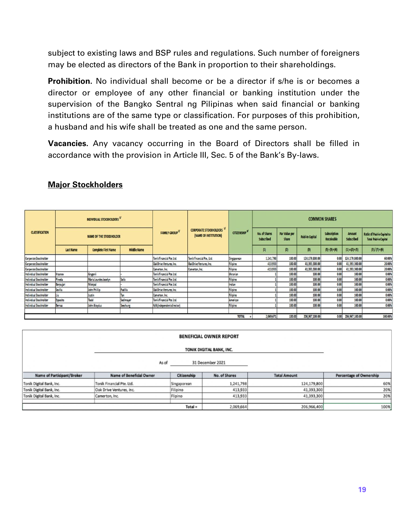subject to existing laws and BSP rules and regulations. Such number of foreigners may be elected as directors of the Bank in proportion to their shareholdings.

**Prohibition.** No individual shall become or be a director if s/he is or becomes a director or employee of any other financial or banking institution under the supervision of the Bangko Sentral ng Pilipinas when said financial or banking institutions are of the same type or classification. For purposes of this prohibition, a husband and his wife shall be treated as one and the same person.

**Vacancies.** Any vacancy occurring in the Board of Directors shall be filled in accordance with the provision in Article III, Sec. 5 of the Bank's By-laws.

|                        | INDIVIDUAL STOCKHOLDERS V      |                            |                    |                                  |                                                                              |             |                             |                          |                 | <b>COMMON SHARES</b>       |                                    |                                                             |
|------------------------|--------------------------------|----------------------------|--------------------|----------------------------------|------------------------------------------------------------------------------|-------------|-----------------------------|--------------------------|-----------------|----------------------------|------------------------------------|-------------------------------------------------------------|
| <b>CLASSIFICATION</b>  | <b>NAME OF THE STOCKHOLDER</b> |                            |                    | <b>FAMILY GROUP</b> <sup>4</sup> | <b>CORPORATE STOCKHOLDERS</b><br><b>CITIZENSHIP</b><br>(NAME OF INSTITUTION) |             | No. of Shares<br>Subscribed | Par Value per<br>Share   | Paid-In Capital | Subscription<br>Receivable | <b>Amount</b><br><b>Subscribed</b> | Ratio of Paid-in Capital to<br><b>Total Paid-in Capital</b> |
|                        | Last Name                      | <b>Complete First Name</b> | <b>Middle Name</b> |                                  |                                                                              |             | $[1]$                       | $\vert \mathbf{r} \vert$ | $\beta$         | $(5) - (3) = (4)$          | $(1) x(2) = (5)$                   | $(3)/(7) = (6)$                                             |
| Corporate Stockholder  |                                |                            |                    | Tonik Financial Pte. Ltd.        | Tonik Financial Pte., Ltd.                                                   | Singaporean | 1,241,798                   | 100.00                   | 124,179,800.00  | 0.00                       | 124,179,800.00                     | 60.00%                                                      |
| Corporate Stockholder  |                                |                            |                    | Oak Drive Ventures, Inc.         | Oak Drive Ventures, Inc.                                                     | Filipino    | 413,933                     | 100.00                   | 41,393,300.00   | 0.00                       | 41,393,300.00                      | 20.00%                                                      |
| Corporate Stockholder  |                                |                            |                    | Camerton, Inc.                   | Camerton, Inc.                                                               | Filipino    | 413,933                     | 100.00                   | 41,393,300.00   | 0.00                       | 41.393.300.00                      | 20.00%                                                      |
| Individual Stockholder | Krasnov                        | Grygonii                   |                    | Tonik Financial Pte Ltd.         |                                                                              | Ukranian    |                             | 100.00                   | 100.00          | 0.00                       | 100.00                             | 0.00%                                                       |
| Individual Stockholder | Pineda                         | Maria Lourdes Jocelyn      | Solis              | Tonik Financial Pte. Ltd.        |                                                                              | Filipino    |                             | 100.00                   | 100.00          | 0.00                       | 100.00                             | 0.00%                                                       |
| Individual Stockholder | Borpujari                      | Nilotpal                   |                    | Tonik Financial Pte. Ltd.        |                                                                              | Indian      |                             | 100.00                   | 100.00          | 0.00                       | 100.00                             | 0.00%                                                       |
| Individual Stockholder | Sevilla                        | John Phillip               | Padilla            | Oak Drive Ventures, Inc.         |                                                                              | Filipino    |                             | 100.00                   | 100.00          | 0.00                       | 100.00                             | 0.00%                                                       |
| Individual Stockholder |                                | Justin                     | Тап                | Camerton, Inc.                   |                                                                              | Filipino    |                             | 100.00                   | 100.00          | 0.00                       | 100.00                             | 0.00%                                                       |
| Individual Stockholder | Esposito                       | Todd                       | Sedimayer          | Tonik Financial Pte Ltd.         |                                                                              | American    |                             | 100.00                   | 100.00          | 0.00                       | 100.00                             | 0.00%                                                       |
| Individual Stockholder | Bernas                         | John Aloysius              | Seechung           | N/A (independent director)       |                                                                              | Filipino    |                             | 100.00                   | 100.00          | 0.00                       | 100.00                             | 0.00%                                                       |
|                        |                                |                            |                    |                                  |                                                                              |             |                             |                          |                 |                            |                                    |                                                             |
|                        | <b>TOTAL</b>                   |                            |                    |                                  |                                                                              |             | 2,069,671                   | 100.00                   | 206,967,100.00  |                            | 0.00 206,967,100.00                | 100.00%                                                     |

#### **Major Stockholders**

| 31 December 2021<br>As of  |                           |             |               |                     |                         |
|----------------------------|---------------------------|-------------|---------------|---------------------|-------------------------|
| Name of Participant/Broker | Name of Beneficial Owner  | Citizenship | No. of Shares | <b>Total Amount</b> | Percentage of Ownership |
| Tonik Digital Bank, Inc.   | Tonik Financial Pte. Ltd. | Singaporean | 1,241,798     | 124,179,800         | 60%                     |
| Tonik Digital Bank, Inc.   | Oak Drive Ventures, Inc.  | Filipino    | 413,933       | 41,393,300          | 20%                     |
| Tonik Digital Bank, Inc.   | Camerton, Inc.            | Flipino     | 413,933       | 41,393,300          | 20%                     |
|                            |                           |             |               |                     |                         |
|                            |                           | $Total =$   | 2,069,664     | 206,966,400         | 100%                    |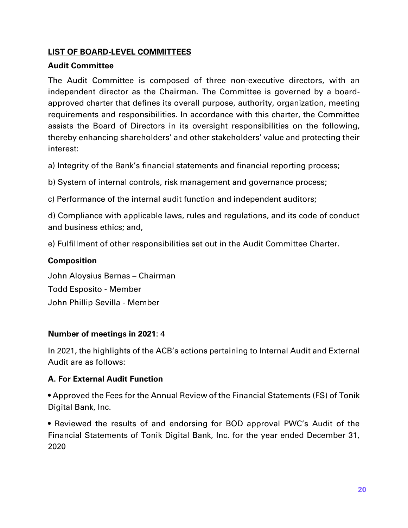## **LIST OF BOARD-LEVEL COMMITTEES**

## **Audit Committee**

The Audit Committee is composed of three non-executive directors, with an independent director as the Chairman. The Committee is governed by a boardapproved charter that defines its overall purpose, authority, organization, meeting requirements and responsibilities. In accordance with this charter, the Committee assists the Board of Directors in its oversight responsibilities on the following, thereby enhancing shareholders' and other stakeholders' value and protecting their interest:

a) Integrity of the Bank's financial statements and financial reporting process;

b) System of internal controls, risk management and governance process;

c) Performance of the internal audit function and independent auditors;

d) Compliance with applicable laws, rules and regulations, and its code of conduct and business ethics; and,

e) Fulfillment of other responsibilities set out in the Audit Committee Charter.

## **Composition**

John Aloysius Bernas – Chairman Todd Esposito - Member John Phillip Sevilla - Member

## **Number of meetings in 2021**: 4

In 2021, the highlights of the ACB's actions pertaining to Internal Audit and External Audit are as follows:

## **A. For External Audit Function**

• Approved the Fees for the Annual Review of the Financial Statements (FS) of Tonik Digital Bank, Inc.

• Reviewed the results of and endorsing for BOD approval PWC's Audit of the Financial Statements of Tonik Digital Bank, Inc. for the year ended December 31, 2020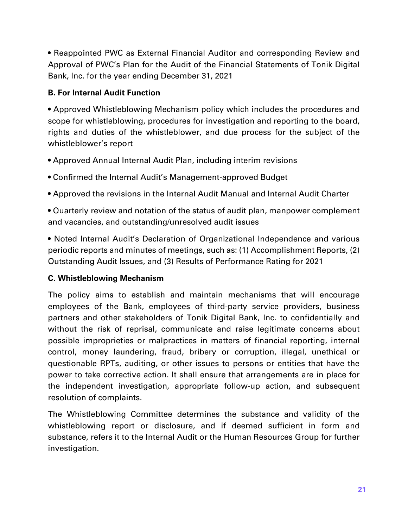• Reappointed PWC as External Financial Auditor and corresponding Review and Approval of PWC's Plan for the Audit of the Financial Statements of Tonik Digital Bank, Inc. for the year ending December 31, 2021

## **B. For Internal Audit Function**

• Approved Whistleblowing Mechanism policy which includes the procedures and scope for whistleblowing, procedures for investigation and reporting to the board, rights and duties of the whistleblower, and due process for the subject of the whistleblower's report

- Approved Annual Internal Audit Plan, including interim revisions
- Confirmed the Internal Audit's Management-approved Budget
- Approved the revisions in the Internal Audit Manual and Internal Audit Charter
- Quarterly review and notation of the status of audit plan, manpower complement and vacancies, and outstanding/unresolved audit issues

• Noted Internal Audit's Declaration of Organizational Independence and various periodic reports and minutes of meetings, such as: (1) Accomplishment Reports, (2) Outstanding Audit Issues, and (3) Results of Performance Rating for 2021

## **C. Whistleblowing Mechanism**

The policy aims to establish and maintain mechanisms that will encourage employees of the Bank, employees of third-party service providers, business partners and other stakeholders of Tonik Digital Bank, Inc. to confidentially and without the risk of reprisal, communicate and raise legitimate concerns about possible improprieties or malpractices in matters of financial reporting, internal control, money laundering, fraud, bribery or corruption, illegal, unethical or questionable RPTs, auditing, or other issues to persons or entities that have the power to take corrective action. It shall ensure that arrangements are in place for the independent investigation, appropriate follow-up action, and subsequent resolution of complaints.

The Whistleblowing Committee determines the substance and validity of the whistleblowing report or disclosure, and if deemed sufficient in form and substance, refers it to the Internal Audit or the Human Resources Group for further investigation.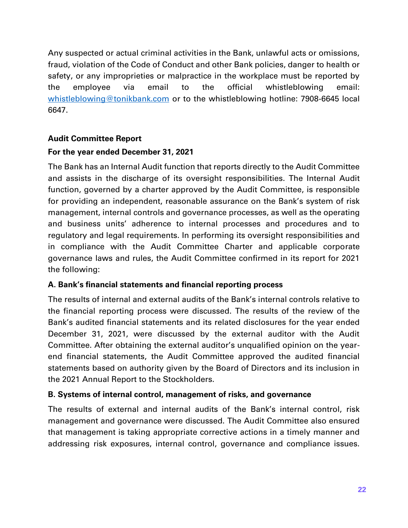Any suspected or actual criminal activities in the Bank, unlawful acts or omissions, fraud, violation of the Code of Conduct and other Bank policies, danger to health or safety, or any improprieties or malpractice in the workplace must be reported by the employee via email to the official whistleblowing email: [whistleblowing@tonikbank.com](mailto:whistleblowing@tonikbank.com) or to the whistleblowing hotline: 7908-6645 local 6647.

## **Audit Committee Report**

## **For the year ended December 31, 2021**

The Bank has an Internal Audit function that reports directly to the Audit Committee and assists in the discharge of its oversight responsibilities. The Internal Audit function, governed by a charter approved by the Audit Committee, is responsible for providing an independent, reasonable assurance on the Bank's system of risk management, internal controls and governance processes, as well as the operating and business units' adherence to internal processes and procedures and to regulatory and legal requirements. In performing its oversight responsibilities and in compliance with the Audit Committee Charter and applicable corporate governance laws and rules, the Audit Committee confirmed in its report for 2021 the following:

## **A. Bank's financial statements and financial reporting process**

The results of internal and external audits of the Bank's internal controls relative to the financial reporting process were discussed. The results of the review of the Bank's audited financial statements and its related disclosures for the year ended December 31, 2021, were discussed by the external auditor with the Audit Committee. After obtaining the external auditor's unqualified opinion on the yearend financial statements, the Audit Committee approved the audited financial statements based on authority given by the Board of Directors and its inclusion in the 2021 Annual Report to the Stockholders.

## **B. Systems of internal control, management of risks, and governance**

The results of external and internal audits of the Bank's internal control, risk management and governance were discussed. The Audit Committee also ensured that management is taking appropriate corrective actions in a timely manner and addressing risk exposures, internal control, governance and compliance issues.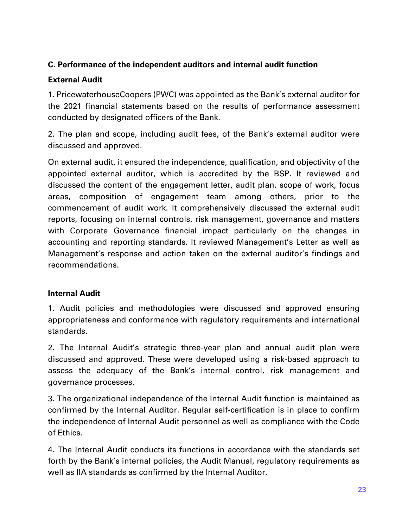## **C. Performance of the independent auditors and internal audit function**

## **External Audit**

1. PricewaterhouseCoopers (PWC) was appointed as the Bank's external auditor for the 2021 financial statements based on the results of performance assessment conducted by designated officers of the Bank.

2. The plan and scope, including audit fees, of the Bank's external auditor were discussed and approved.

On external audit, it ensured the independence, qualification, and objectivity of the appointed external auditor, which is accredited by the BSP. It reviewed and discussed the content of the engagement letter, audit plan, scope of work, focus areas, composition of engagement team among others, prior to the commencement of audit work. It comprehensively discussed the external audit reports, focusing on internal controls, risk management, governance and matters with Corporate Governance financial impact particularly on the changes in accounting and reporting standards. It reviewed Management's Letter as well as Management's response and action taken on the external auditor's findings and recommendations.

## **Internal Audit**

1. Audit policies and methodologies were discussed and approved ensuring appropriateness and conformance with regulatory requirements and international standards.

2. The Internal Audit's strategic three-year plan and annual audit plan were discussed and approved. These were developed using a risk-based approach to assess the adequacy of the Bank's internal control, risk management and governance processes.

3. The organizational independence of the Internal Audit function is maintained as confirmed by the Internal Auditor. Regular self-certification is in place to confirm the independence of Internal Audit personnel as well as compliance with the Code of Ethics.

4. The Internal Audit conducts its functions in accordance with the standards set forth by the Bank's internal policies, the Audit Manual, regulatory requirements as well as IIA standards as confirmed by the Internal Auditor.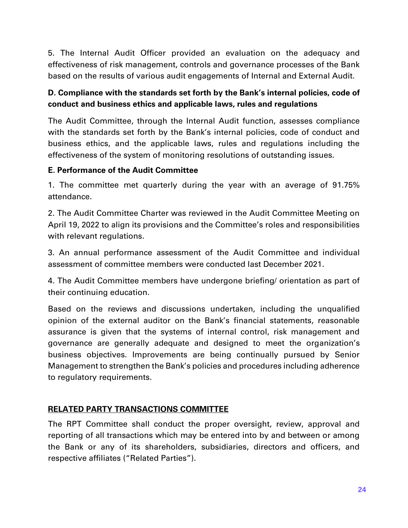5. The Internal Audit Officer provided an evaluation on the adequacy and effectiveness of risk management, controls and governance processes of the Bank based on the results of various audit engagements of Internal and External Audit.

## **D. Compliance with the standards set forth by the Bank's internal policies, code of conduct and business ethics and applicable laws, rules and regulations**

The Audit Committee, through the Internal Audit function, assesses compliance with the standards set forth by the Bank's internal policies, code of conduct and business ethics, and the applicable laws, rules and regulations including the effectiveness of the system of monitoring resolutions of outstanding issues.

## **E. Performance of the Audit Committee**

1. The committee met quarterly during the year with an average of 91.75% attendance.

2. The Audit Committee Charter was reviewed in the Audit Committee Meeting on April 19, 2022 to align its provisions and the Committee's roles and responsibilities with relevant regulations.

3. An annual performance assessment of the Audit Committee and individual assessment of committee members were conducted last December 2021.

4. The Audit Committee members have undergone briefing/ orientation as part of their continuing education.

Based on the reviews and discussions undertaken, including the unqualified opinion of the external auditor on the Bank's financial statements, reasonable assurance is given that the systems of internal control, risk management and governance are generally adequate and designed to meet the organization's business objectives. Improvements are being continually pursued by Senior Management to strengthen the Bank's policies and procedures including adherence to regulatory requirements.

## **RELATED PARTY TRANSACTIONS COMMITTEE**

The RPT Committee shall conduct the proper oversight, review, approval and reporting of all transactions which may be entered into by and between or among the Bank or any of its shareholders, subsidiaries, directors and officers, and respective affiliates ("Related Parties").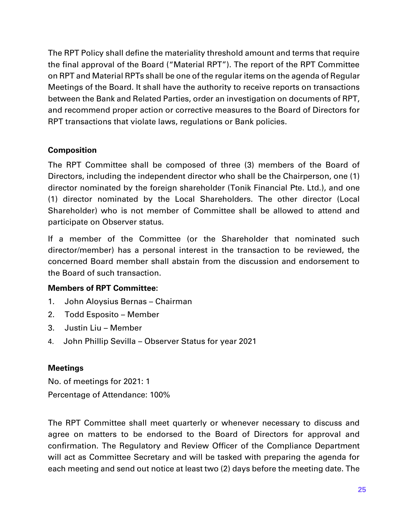The RPT Policy shall define the materiality threshold amount and terms that require the final approval of the Board ("Material RPT"). The report of the RPT Committee on RPT and Material RPTs shall be one of the regular items on the agenda of Regular Meetings of the Board. It shall have the authority to receive reports on transactions between the Bank and Related Parties, order an investigation on documents of RPT, and recommend proper action or corrective measures to the Board of Directors for RPT transactions that violate laws, regulations or Bank policies.

## **Composition**

The RPT Committee shall be composed of three (3) members of the Board of Directors, including the independent director who shall be the Chairperson, one (1) director nominated by the foreign shareholder (Tonik Financial Pte. Ltd.), and one (1) director nominated by the Local Shareholders. The other director (Local Shareholder) who is not member of Committee shall be allowed to attend and participate on Observer status.

If a member of the Committee (or the Shareholder that nominated such director/member) has a personal interest in the transaction to be reviewed, the concerned Board member shall abstain from the discussion and endorsement to the Board of such transaction.

## **Members of RPT Committee:**

- 1. John Aloysius Bernas Chairman
- 2. Todd Esposito Member
- 3. Justin Liu Member
- 4. John Phillip Sevilla Observer Status for year 2021

## **Meetings**

No. of meetings for 2021: 1 Percentage of Attendance: 100%

The RPT Committee shall meet quarterly or whenever necessary to discuss and agree on matters to be endorsed to the Board of Directors for approval and confirmation. The Regulatory and Review Officer of the Compliance Department will act as Committee Secretary and will be tasked with preparing the agenda for each meeting and send out notice at least two (2) days before the meeting date. The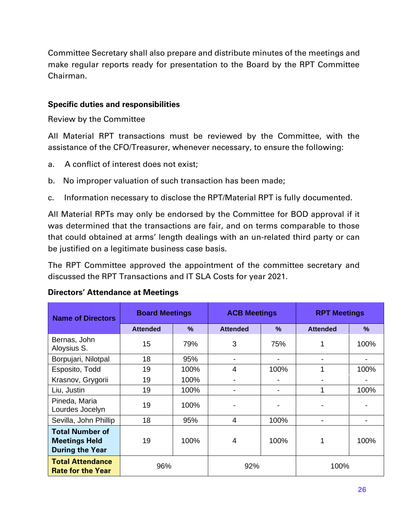Committee Secretary shall also prepare and distribute minutes of the meetings and make regular reports ready for presentation to the Board by the RPT Committee Chairman.

#### **Specific duties and responsibilities**

Review by the Committee

All Material RPT transactions must be reviewed by the Committee, with the assistance of the CFO/Treasurer, whenever necessary, to ensure the following:

- a. A conflict of interest does not exist;
- b. No improper valuation of such transaction has been made;
- c. Information necessary to disclose the RPT/Material RPT is fully documented.

All Material RPTs may only be endorsed by the Committee for BOD approval if it was determined that the transactions are fair, and on terms comparable to those that could obtained at arms' length dealings with an un-related third party or can be justified on a legitimate business case basis.

The RPT Committee approved the appointment of the committee secretary and discussed the RPT Transactions and IT SLA Costs for year 2021.

| <b>Name of Directors</b>                                                 | <b>Board Meetings</b> |               | <b>ACB Meetings</b>      |               | <b>RPT Meetings</b> |               |  |
|--------------------------------------------------------------------------|-----------------------|---------------|--------------------------|---------------|---------------------|---------------|--|
|                                                                          | <b>Attended</b>       | $\frac{9}{6}$ | <b>Attended</b>          | $\frac{9}{6}$ | <b>Attended</b>     | $\frac{9}{6}$ |  |
| Bernas, John<br>Aloysius S.                                              | 15                    | 79%           | 3                        | 75%           |                     | 100%          |  |
| Borpujari, Nilotpal                                                      | 18                    | 95%           | $\overline{\phantom{a}}$ |               |                     |               |  |
| Esposito, Todd                                                           | 19                    | 100%          | $\overline{4}$           | 100%          |                     | 100%          |  |
| Krasnov, Grygorii                                                        | 19                    | 100%          | -                        |               |                     |               |  |
| Liu, Justin                                                              | 19                    | 100%          | -                        |               |                     | 100%          |  |
| Pineda, Maria<br>Lourdes Jocelyn                                         | 19                    | 100%          |                          |               |                     |               |  |
| Sevilla, John Phillip                                                    | 18                    | 95%           | $\overline{4}$           | 100%          |                     |               |  |
| <b>Total Number of</b><br><b>Meetings Held</b><br><b>During the Year</b> | 19                    | 100%          | 4                        | 100%          |                     | 100%          |  |
| <b>Total Attendance</b><br><b>Rate for the Year</b>                      | 96%                   |               | 92%                      |               | 100%                |               |  |

#### **Directors' Attendance at Meetings**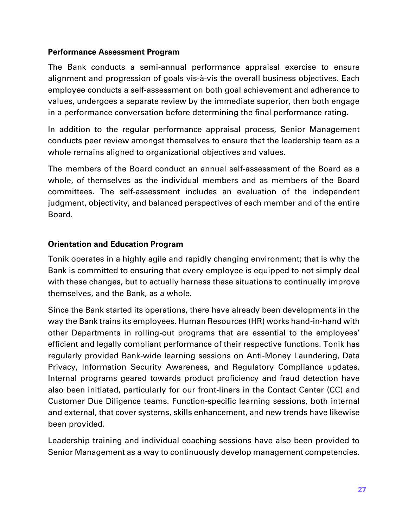## **Performance Assessment Program**

The Bank conducts a semi-annual performance appraisal exercise to ensure alignment and progression of goals vis-à-vis the overall business objectives. Each employee conducts a self-assessment on both goal achievement and adherence to values, undergoes a separate review by the immediate superior, then both engage in a performance conversation before determining the final performance rating.

In addition to the regular performance appraisal process, Senior Management conducts peer review amongst themselves to ensure that the leadership team as a whole remains aligned to organizational objectives and values.

The members of the Board conduct an annual self-assessment of the Board as a whole, of themselves as the individual members and as members of the Board committees. The self-assessment includes an evaluation of the independent judgment, objectivity, and balanced perspectives of each member and of the entire Board.

## **Orientation and Education Program**

Tonik operates in a highly agile and rapidly changing environment; that is why the Bank is committed to ensuring that every employee is equipped to not simply deal with these changes, but to actually harness these situations to continually improve themselves, and the Bank, as a whole.

Since the Bank started its operations, there have already been developments in the way the Bank trains its employees. Human Resources (HR) works hand-in-hand with other Departments in rolling-out programs that are essential to the employees' efficient and legally compliant performance of their respective functions. Tonik has regularly provided Bank-wide learning sessions on Anti-Money Laundering, Data Privacy, Information Security Awareness, and Regulatory Compliance updates. Internal programs geared towards product proficiency and fraud detection have also been initiated, particularly for our front-liners in the Contact Center (CC) and Customer Due Diligence teams. Function-specific learning sessions, both internal and external, that cover systems, skills enhancement, and new trends have likewise been provided.

Leadership training and individual coaching sessions have also been provided to Senior Management as a way to continuously develop management competencies.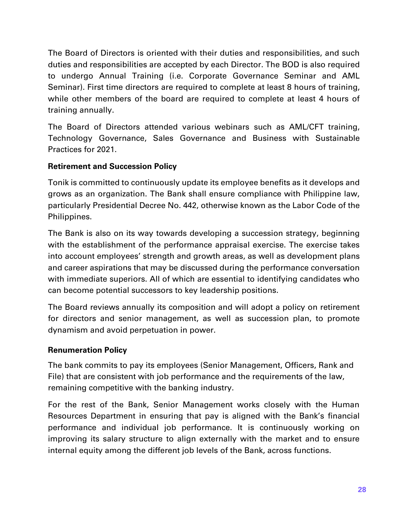The Board of Directors is oriented with their duties and responsibilities, and such duties and responsibilities are accepted by each Director. The BOD is also required to undergo Annual Training (i.e. Corporate Governance Seminar and AML Seminar). First time directors are required to complete at least 8 hours of training, while other members of the board are required to complete at least 4 hours of training annually.

The Board of Directors attended various webinars such as AML/CFT training, Technology Governance, Sales Governance and Business with Sustainable Practices for 2021.

## **Retirement and Succession Policy**

Tonik is committed to continuously update its employee benefits as it develops and grows as an organization. The Bank shall ensure compliance with Philippine law, particularly Presidential Decree No. 442, otherwise known as the Labor Code of the Philippines.

The Bank is also on its way towards developing a succession strategy, beginning with the establishment of the performance appraisal exercise. The exercise takes into account employees' strength and growth areas, as well as development plans and career aspirations that may be discussed during the performance conversation with immediate superiors. All of which are essential to identifying candidates who can become potential successors to key leadership positions.

The Board reviews annually its composition and will adopt a policy on retirement for directors and senior management, as well as succession plan, to promote dynamism and avoid perpetuation in power.

## **Renumeration Policy**

The bank commits to pay its employees (Senior Management, Officers, Rank and File) that are consistent with job performance and the requirements of the law, remaining competitive with the banking industry.

For the rest of the Bank, Senior Management works closely with the Human Resources Department in ensuring that pay is aligned with the Bank's financial performance and individual job performance. It is continuously working on improving its salary structure to align externally with the market and to ensure internal equity among the different job levels of the Bank, across functions.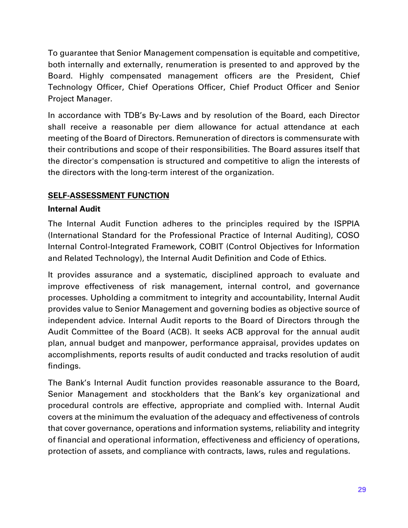To guarantee that Senior Management compensation is equitable and competitive, both internally and externally, renumeration is presented to and approved by the Board. Highly compensated management officers are the President, Chief Technology Officer, Chief Operations Officer, Chief Product Officer and Senior Project Manager.

In accordance with TDB's By-Laws and by resolution of the Board, each Director shall receive a reasonable per diem allowance for actual attendance at each meeting of the Board of Directors. Remuneration of directors is commensurate with their contributions and scope of their responsibilities. The Board assures itself that the director's compensation is structured and competitive to align the interests of the directors with the long-term interest of the organization.

## **SELF-ASSESSMENT FUNCTION**

## **Internal Audit**

The Internal Audit Function adheres to the principles required by the ISPPIA (International Standard for the Professional Practice of Internal Auditing), COSO Internal Control-Integrated Framework, COBIT (Control Objectives for Information and Related Technology), the Internal Audit Definition and Code of Ethics.

It provides assurance and a systematic, disciplined approach to evaluate and improve effectiveness of risk management, internal control, and governance processes. Upholding a commitment to integrity and accountability, Internal Audit provides value to Senior Management and governing bodies as objective source of independent advice. Internal Audit reports to the Board of Directors through the Audit Committee of the Board (ACB). It seeks ACB approval for the annual audit plan, annual budget and manpower, performance appraisal, provides updates on accomplishments, reports results of audit conducted and tracks resolution of audit findings.

The Bank's Internal Audit function provides reasonable assurance to the Board, Senior Management and stockholders that the Bank's key organizational and procedural controls are effective, appropriate and complied with. Internal Audit covers at the minimum the evaluation of the adequacy and effectiveness of controls that cover governance, operations and information systems, reliability and integrity of financial and operational information, effectiveness and efficiency of operations, protection of assets, and compliance with contracts, laws, rules and regulations.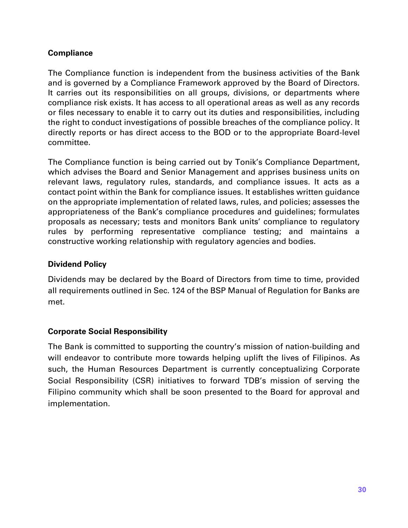## **Compliance**

The Compliance function is independent from the business activities of the Bank and is governed by a Compliance Framework approved by the Board of Directors. It carries out its responsibilities on all groups, divisions, or departments where compliance risk exists. It has access to all operational areas as well as any records or files necessary to enable it to carry out its duties and responsibilities, including the right to conduct investigations of possible breaches of the compliance policy. It directly reports or has direct access to the BOD or to the appropriate Board-level committee.

The Compliance function is being carried out by Tonik's Compliance Department, which advises the Board and Senior Management and apprises business units on relevant laws, regulatory rules, standards, and compliance issues. It acts as a contact point within the Bank for compliance issues. It establishes written guidance on the appropriate implementation of related laws, rules, and policies; assesses the appropriateness of the Bank's compliance procedures and guidelines; formulates proposals as necessary; tests and monitors Bank units' compliance to regulatory rules by performing representative compliance testing; and maintains a constructive working relationship with regulatory agencies and bodies.

## **Dividend Policy**

Dividends may be declared by the Board of Directors from time to time, provided all requirements outlined in Sec. 124 of the BSP Manual of Regulation for Banks are met.

## **Corporate Social Responsibility**

The Bank is committed to supporting the country's mission of nation-building and will endeavor to contribute more towards helping uplift the lives of Filipinos. As such, the Human Resources Department is currently conceptualizing Corporate Social Responsibility (CSR) initiatives to forward TDB's mission of serving the Filipino community which shall be soon presented to the Board for approval and implementation.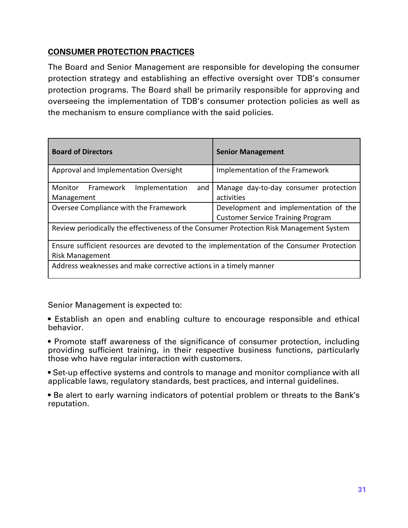## **CONSUMER PROTECTION PRACTICES**

The Board and Senior Management are responsible for developing the consumer protection strategy and establishing an effective oversight over TDB's consumer protection programs. The Board shall be primarily responsible for approving and overseeing the implementation of TDB's consumer protection policies as well as the mechanism to ensure compliance with the said policies.

| <b>Board of Directors</b>                                                                | <b>Senior Management</b>                                                          |  |  |  |  |  |
|------------------------------------------------------------------------------------------|-----------------------------------------------------------------------------------|--|--|--|--|--|
| Approval and Implementation Oversight                                                    | Implementation of the Framework                                                   |  |  |  |  |  |
| Monitor<br>Framework<br>Implementation<br>and<br>Management                              | Manage day-to-day consumer protection<br>activities                               |  |  |  |  |  |
| Oversee Compliance with the Framework                                                    | Development and implementation of the<br><b>Customer Service Training Program</b> |  |  |  |  |  |
| Review periodically the effectiveness of the Consumer Protection Risk Management System  |                                                                                   |  |  |  |  |  |
| Ensure sufficient resources are devoted to the implementation of the Consumer Protection |                                                                                   |  |  |  |  |  |
| <b>Risk Management</b>                                                                   |                                                                                   |  |  |  |  |  |
| Address weaknesses and make corrective actions in a timely manner                        |                                                                                   |  |  |  |  |  |

Senior Management is expected to:

• Establish an open and enabling culture to encourage responsible and ethical behavior.

• Promote staff awareness of the significance of consumer protection, including providing sufficient training, in their respective business functions, particularly those who have regular interaction with customers.

• Set-up effective systems and controls to manage and monitor compliance with all applicable laws, regulatory standards, best practices, and internal guidelines.

• Be alert to early warning indicators of potential problem or threats to the Bank's reputation.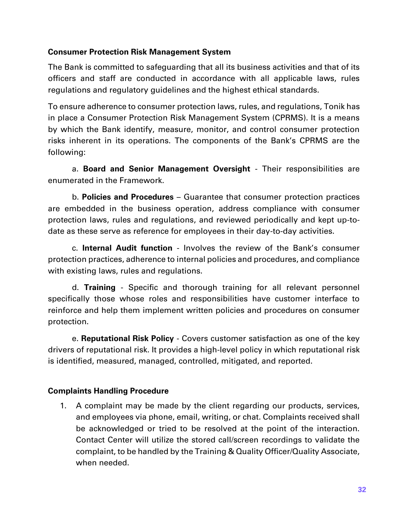## **Consumer Protection Risk Management System**

The Bank is committed to safeguarding that all its business activities and that of its officers and staff are conducted in accordance with all applicable laws, rules regulations and regulatory guidelines and the highest ethical standards.

To ensure adherence to consumer protection laws, rules, and regulations, Tonik has in place a Consumer Protection Risk Management System (CPRMS). It is a means by which the Bank identify, measure, monitor, and control consumer protection risks inherent in its operations. The components of the Bank's CPRMS are the following:

a. **Board and Senior Management Oversight** - Their responsibilities are enumerated in the Framework.

b. **Policies and Procedures** – Guarantee that consumer protection practices are embedded in the business operation, address compliance with consumer protection laws, rules and regulations, and reviewed periodically and kept up-todate as these serve as reference for employees in their day-to-day activities.

c. **Internal Audit function** - Involves the review of the Bank's consumer protection practices, adherence to internal policies and procedures, and compliance with existing laws, rules and regulations.

d. **Training** - Specific and thorough training for all relevant personnel specifically those whose roles and responsibilities have customer interface to reinforce and help them implement written policies and procedures on consumer protection.

e. **Reputational Risk Policy** - Covers customer satisfaction as one of the key drivers of reputational risk. It provides a high-level policy in which reputational risk is identified, measured, managed, controlled, mitigated, and reported.

## **Complaints Handling Procedure**

1. A complaint may be made by the client regarding our products, services, and employees via phone, email, writing, or chat. Complaints received shall be acknowledged or tried to be resolved at the point of the interaction. Contact Center will utilize the stored call/screen recordings to validate the complaint, to be handled by the Training & Quality Officer/Quality Associate, when needed.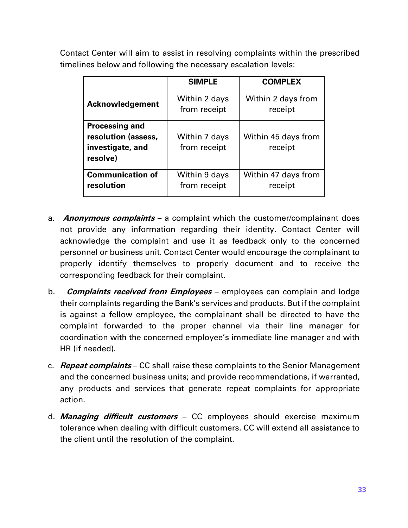Contact Center will aim to assist in resolving complaints within the prescribed timelines below and following the necessary escalation levels:

|                                                                              | <b>SIMPLE</b>                 | <b>COMPLEX</b>                 |
|------------------------------------------------------------------------------|-------------------------------|--------------------------------|
| <b>Acknowledgement</b>                                                       | Within 2 days<br>from receipt | Within 2 days from<br>receipt  |
| <b>Processing and</b><br>resolution (assess,<br>investigate, and<br>resolve) | Within 7 days<br>from receipt | Within 45 days from<br>receipt |
| <b>Communication of</b><br>resolution                                        | Within 9 days<br>from receipt | Within 47 days from<br>receipt |

- a. **Anonymous complaints**  a complaint which the customer/complainant does not provide any information regarding their identity. Contact Center will acknowledge the complaint and use it as feedback only to the concerned personnel or business unit. Contact Center would encourage the complainant to properly identify themselves to properly document and to receive the corresponding feedback for their complaint.
- b. **Complaints received from Employees** employees can complain and lodge their complaints regarding the Bank's services and products. But if the complaint is against a fellow employee, the complainant shall be directed to have the complaint forwarded to the proper channel via their line manager for coordination with the concerned employee's immediate line manager and with HR (if needed).
- c. **Repeat complaints** CC shall raise these complaints to the Senior Management and the concerned business units; and provide recommendations, if warranted, any products and services that generate repeat complaints for appropriate action.
- d. **Managing difficult customers** CC employees should exercise maximum tolerance when dealing with difficult customers. CC will extend all assistance to the client until the resolution of the complaint.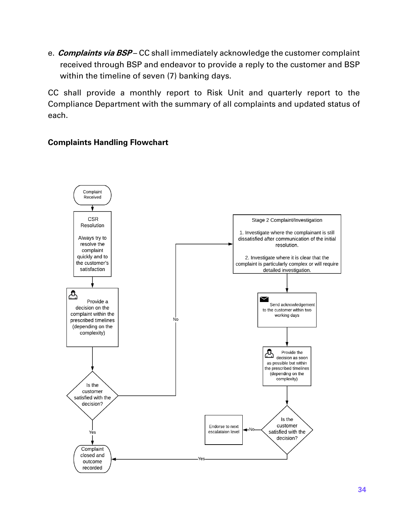e. **Complaints via BSP** – CC shall immediately acknowledge the customer complaint received through BSP and endeavor to provide a reply to the customer and BSP within the timeline of seven (7) banking days.

CC shall provide a monthly report to Risk Unit and quarterly report to the Compliance Department with the summary of all complaints and updated status of each.

## **Complaints Handling Flowchart**

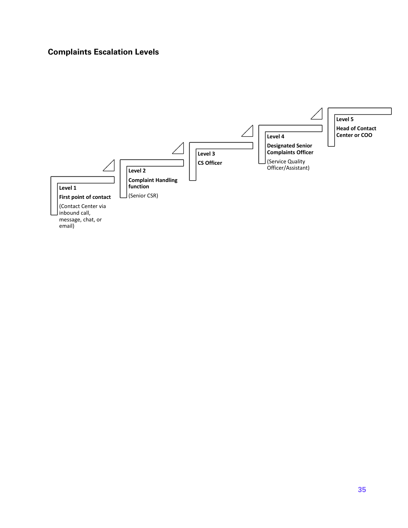## **Complaints Escalation Levels**